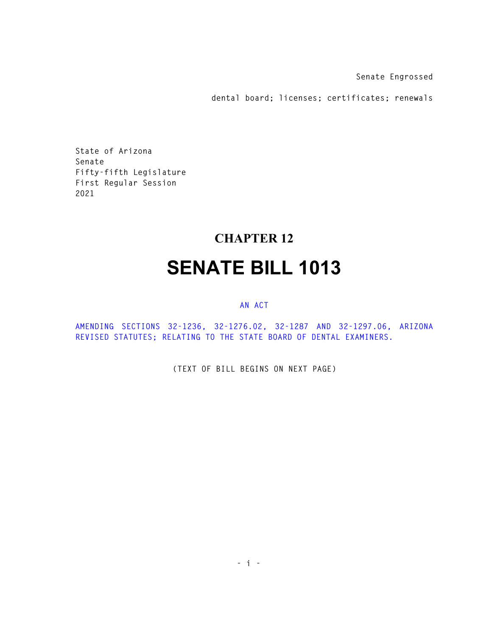**Senate Engrossed** 

**dental board; licenses; certificates; renewals** 

**State of Arizona Senate Fifty-fifth Legislature First Regular Session 2021** 

## **CHAPTER 12 SENATE BILL 1013**

## **AN ACT**

**AMENDING SECTIONS 32-1236, 32-1276.02, 32-1287 AND 32-1297.06, ARIZONA REVISED STATUTES; RELATING TO THE STATE BOARD OF DENTAL EXAMINERS.** 

**(TEXT OF BILL BEGINS ON NEXT PAGE)**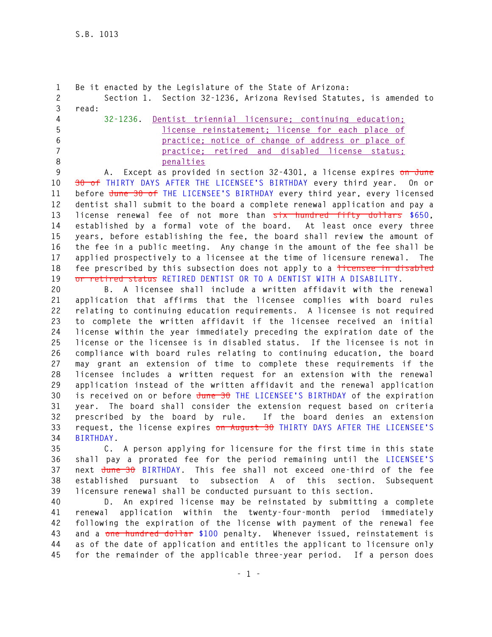```
1 Be it enacted by the Legislature of the State of Arizona: 
2 Section 1. Section 32-1236, Arizona Revised Statutes, is amended to 
3 read: 
4 32-1236. Dentist triennial licensure; continuing education; 
5 license reinstatement; license for each place of 
6 practice; notice of change of address or place of 
7 practice; retired and disabled license status; 
8 penalties
9 A. Except as provided in section 32-4301, a license expires on June 
10 30 of THIRTY DAYS AFTER THE LICENSEE'S BIRTHDAY every third year. On or 
11 before June 30 of THE LICENSEE'S BIRTHDAY every third year, every licensed 
12 dentist shall submit to the board a complete renewal application and pay a 
13 license renewal fee of not more than six hundred fifty dollars $650, 
14 established by a formal vote of the board. At least once every three
```
**15 years, before establishing the fee, the board shall review the amount of 16 the fee in a public meeting. Any change in the amount of the fee shall be 17 applied prospectively to a licensee at the time of licensure renewal. The**  18 fee prescribed by this subsection does not apply to a <del>licensee in disabled</del> **19 or retired status RETIRED DENTIST OR TO A DENTIST WITH A DISABILITY.** 

**20 B. A licensee shall include a written affidavit with the renewal 21 application that affirms that the licensee complies with board rules 22 relating to continuing education requirements. A licensee is not required 23 to complete the written affidavit if the licensee received an initial 24 license within the year immediately preceding the expiration date of the 25 license or the licensee is in disabled status. If the licensee is not in 26 compliance with board rules relating to continuing education, the board 27 may grant an extension of time to complete these requirements if the 28 licensee includes a written request for an extension with the renewal 29 application instead of the written affidavit and the renewal application 30 is received on or before June 30 THE LICENSEE'S BIRTHDAY of the expiration 31 year. The board shall consider the extension request based on criteria 32 prescribed by the board by rule. If the board denies an extension 33 request, the license expires on August 30 THIRTY DAYS AFTER THE LICENSEE'S 34 BIRTHDAY.** 

**35 C. A person applying for licensure for the first time in this state 36 shall pay a prorated fee for the period remaining until the LICENSEE'S 37 next June 30 BIRTHDAY. This fee shall not exceed one-third of the fee 38 established pursuant to subsection A of this section. Subsequent 39 licensure renewal shall be conducted pursuant to this section.** 

**40 D. An expired license may be reinstated by submitting a complete 41 renewal application within the twenty-four-month period immediately 42 following the expiration of the license with payment of the renewal fee 43 and a one hundred dollar \$100 penalty. Whenever issued, reinstatement is 44 as of the date of application and entitles the applicant to licensure only 45 for the remainder of the applicable three-year period. If a person does**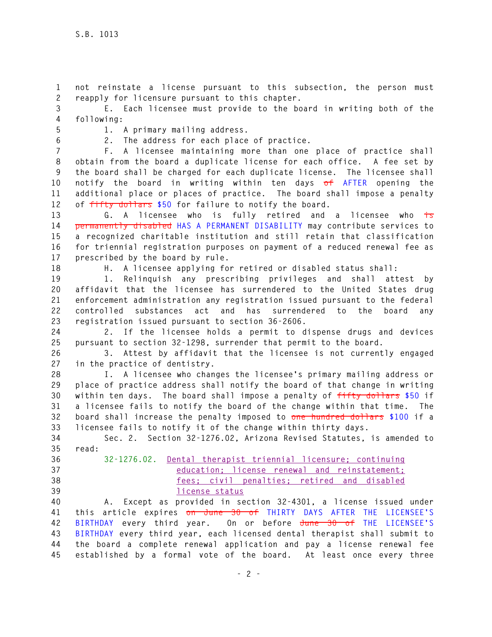**1 not reinstate a license pursuant to this subsection, the person must 2 reapply for licensure pursuant to this chapter.** 

**3 E. Each licensee must provide to the board in writing both of the 4 following:** 

**5 1. A primary mailing address. 6 2. The address for each place of practice.** 

**7 F. A licensee maintaining more than one place of practice shall 8 obtain from the board a duplicate license for each office. A fee set by 9 the board shall be charged for each duplicate license. The licensee shall 10 notify the board in writing within ten days of AFTER opening the 11 additional place or places of practice. The board shall impose a penalty 12 of fifty dollars \$50 for failure to notify the board.** 

**13 G. A licensee who is fully retired and a licensee who is 14 permanently disabled HAS A PERMANENT DISABILITY may contribute services to 15 a recognized charitable institution and still retain that classification 16 for triennial registration purposes on payment of a reduced renewal fee as 17 prescribed by the board by rule.** 

**18 H. A licensee applying for retired or disabled status shall:** 

**19 1. Relinquish any prescribing privileges and shall attest by 20 affidavit that the licensee has surrendered to the United States drug 21 enforcement administration any registration issued pursuant to the federal 22 controlled substances act and has surrendered to the board any 23 registration issued pursuant to section 36-2606.** 

**24 2. If the licensee holds a permit to dispense drugs and devices 25 pursuant to section 32-1298, surrender that permit to the board.** 

**26 3. Attest by affidavit that the licensee is not currently engaged 27 in the practice of dentistry.** 

**28 I. A licensee who changes the licensee's primary mailing address or 29 place of practice address shall notify the board of that change in writing 30 within ten days. The board shall impose a penalty of fifty dollars \$50 if 31 a licensee fails to notify the board of the change within that time. The 32 board shall increase the penalty imposed to one hundred dollars \$100 if a 33 licensee fails to notify it of the change within thirty days.** 

**34 Sec. 2. Section 32-1276.02, Arizona Revised Statutes, is amended to 35 read:** 

- 
- 

**36 32-1276.02. Dental therapist triennial licensure; continuing 37 education; license renewal and reinstatement; 38 fees; civil penalties; retired and disabled 39 license status**

**40 A. Except as provided in section 32-4301, a license issued under 41 this article expires on June 30 of THIRTY DAYS AFTER THE LICENSEE'S 42 BIRTHDAY every third year. On or before June 30 of THE LICENSEE'S 43 BIRTHDAY every third year, each licensed dental therapist shall submit to 44 the board a complete renewal application and pay a license renewal fee 45 established by a formal vote of the board. At least once every three**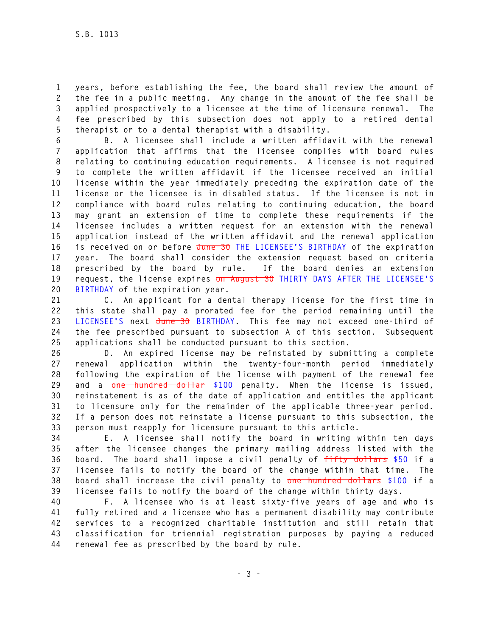**1 years, before establishing the fee, the board shall review the amount of 2 the fee in a public meeting. Any change in the amount of the fee shall be 3 applied prospectively to a licensee at the time of licensure renewal. The 4 fee prescribed by this subsection does not apply to a retired dental 5 therapist or to a dental therapist with a disability.** 

**6 B. A licensee shall include a written affidavit with the renewal 7 application that affirms that the licensee complies with board rules 8 relating to continuing education requirements. A licensee is not required 9 to complete the written affidavit if the licensee received an initial 10 license within the year immediately preceding the expiration date of the 11 license or the licensee is in disabled status. If the licensee is not in 12 compliance with board rules relating to continuing education, the board 13 may grant an extension of time to complete these requirements if the 14 licensee includes a written request for an extension with the renewal 15 application instead of the written affidavit and the renewal application 16 is received on or before June 30 THE LICENSEE'S BIRTHDAY of the expiration 17 year. The board shall consider the extension request based on criteria 18 prescribed by the board by rule. If the board denies an extension 19 request, the license expires on August 30 THIRTY DAYS AFTER THE LICENSEE'S 20 BIRTHDAY of the expiration year.** 

**21 C. An applicant for a dental therapy license for the first time in 22 this state shall pay a prorated fee for the period remaining until the 23 LICENSEE'S next June 30 BIRTHDAY. This fee may not exceed one-third of 24 the fee prescribed pursuant to subsection A of this section. Subsequent 25 applications shall be conducted pursuant to this section.** 

**26 D. An expired license may be reinstated by submitting a complete 27 renewal application within the twenty-four-month period immediately 28 following the expiration of the license with payment of the renewal fee 29 and a one hundred dollar \$100 penalty. When the license is issued, 30 reinstatement is as of the date of application and entitles the applicant 31 to licensure only for the remainder of the applicable three-year period. 32 If a person does not reinstate a license pursuant to this subsection, the 33 person must reapply for licensure pursuant to this article.** 

**34 E. A licensee shall notify the board in writing within ten days 35 after the licensee changes the primary mailing address listed with the 36 board. The board shall impose a civil penalty of fifty dollars \$50 if a 37 licensee fails to notify the board of the change within that time. The 38 board shall increase the civil penalty to one hundred dollars \$100 if a 39 licensee fails to notify the board of the change within thirty days.** 

**40 F. A licensee who is at least sixty-five years of age and who is 41 fully retired and a licensee who has a permanent disability may contribute 42 services to a recognized charitable institution and still retain that 43 classification for triennial registration purposes by paying a reduced 44 renewal fee as prescribed by the board by rule.**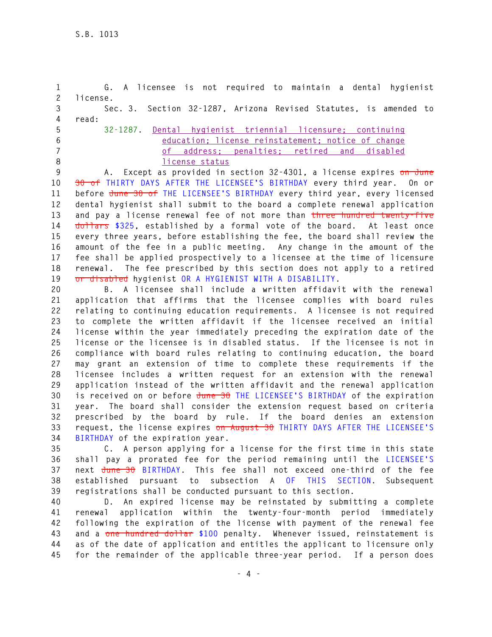**1 G. A licensee is not required to maintain a dental hygienist 2 license. 3 Sec. 3. Section 32-1287, Arizona Revised Statutes, is amended to 4 read: 5 32-1287. Dental hygienist triennial licensure; continuing 6 education; license reinstatement; notice of change 7 of address; penalties; retired and disabled 8 license status**

**9 A. Except as provided in section 32-4301, a license expires on June 10 30 of THIRTY DAYS AFTER THE LICENSEE'S BIRTHDAY every third year. On or 11 before June 30 of THE LICENSEE'S BIRTHDAY every third year, every licensed 12 dental hygienist shall submit to the board a complete renewal application 13 and pay a license renewal fee of not more than three hundred twenty-five**  14 dollars \$325, established by a formal vote of the board. At least once **15 every three years, before establishing the fee, the board shall review the 16 amount of the fee in a public meeting. Any change in the amount of the 17 fee shall be applied prospectively to a licensee at the time of licensure 18 renewal. The fee prescribed by this section does not apply to a retired 19 or disabled hygienist OR A HYGIENIST WITH A DISABILITY.** 

**20 B. A licensee shall include a written affidavit with the renewal 21 application that affirms that the licensee complies with board rules 22 relating to continuing education requirements. A licensee is not required 23 to complete the written affidavit if the licensee received an initial 24 license within the year immediately preceding the expiration date of the 25 license or the licensee is in disabled status. If the licensee is not in 26 compliance with board rules relating to continuing education, the board 27 may grant an extension of time to complete these requirements if the 28 licensee includes a written request for an extension with the renewal 29 application instead of the written affidavit and the renewal application 30 is received on or before June 30 THE LICENSEE'S BIRTHDAY of the expiration 31 year. The board shall consider the extension request based on criteria 32 prescribed by the board by rule. If the board denies an extension 33 request, the license expires on August 30 THIRTY DAYS AFTER THE LICENSEE'S 34 BIRTHDAY of the expiration year.** 

**35 C. A person applying for a license for the first time in this state 36 shall pay a prorated fee for the period remaining until the LICENSEE'S 37 next June 30 BIRTHDAY. This fee shall not exceed one-third of the fee 38 established pursuant to subsection A OF THIS SECTION. Subsequent 39 registrations shall be conducted pursuant to this section.** 

**40 D. An expired license may be reinstated by submitting a complete 41 renewal application within the twenty-four-month period immediately 42 following the expiration of the license with payment of the renewal fee 43 and a one hundred dollar \$100 penalty. Whenever issued, reinstatement is 44 as of the date of application and entitles the applicant to licensure only 45 for the remainder of the applicable three-year period. If a person does**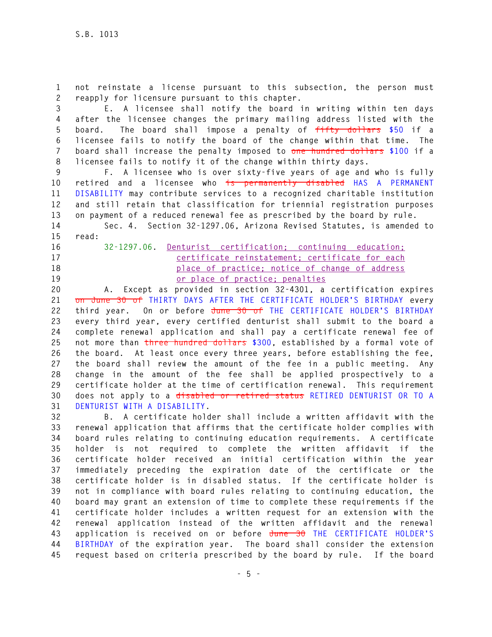**1 not reinstate a license pursuant to this subsection, the person must 2 reapply for licensure pursuant to this chapter.** 

**3 E. A licensee shall notify the board in writing within ten days 4 after the licensee changes the primary mailing address listed with the 5 board. The board shall impose a penalty of fifty dollars \$50 if a 6 licensee fails to notify the board of the change within that time. The 7 board shall increase the penalty imposed to one hundred dollars \$100 if a 8 licensee fails to notify it of the change within thirty days.** 

**9 F. A licensee who is over sixty-five years of age and who is fully 10 retired and a licensee who is permanently disabled HAS A PERMANENT 11 DISABILITY may contribute services to a recognized charitable institution 12 and still retain that classification for triennial registration purposes 13 on payment of a reduced renewal fee as prescribed by the board by rule.** 

**14 Sec. 4. Section 32-1297.06, Arizona Revised Statutes, is amended to 15 read:** 

**16 32-1297.06. Denturist certification; continuing education; 17 certificate reinstatement; certificate for each 18 place of practice; notice of change of address 19 or place of practice; penalties**

**20 A. Except as provided in section 32-4301, a certification expires 21 on June 30 of THIRTY DAYS AFTER THE CERTIFICATE HOLDER'S BIRTHDAY every 22 third year. On or before June 30 of THE CERTIFICATE HOLDER'S BIRTHDAY 23 every third year, every certified denturist shall submit to the board a 24 complete renewal application and shall pay a certificate renewal fee of 25 not more than three hundred dollars \$300, established by a formal vote of 26 the board. At least once every three years, before establishing the fee, 27 the board shall review the amount of the fee in a public meeting. Any 28 change in the amount of the fee shall be applied prospectively to a 29 certificate holder at the time of certification renewal. This requirement 30 does not apply to a disabled or retired status RETIRED DENTURIST OR TO A 31 DENTURIST WITH A DISABILITY.** 

**32 B. A certificate holder shall include a written affidavit with the 33 renewal application that affirms that the certificate holder complies with 34 board rules relating to continuing education requirements. A certificate 35 holder is not required to complete the written affidavit if the 36 certificate holder received an initial certification within the year 37 immediately preceding the expiration date of the certificate or the 38 certificate holder is in disabled status. If the certificate holder is 39 not in compliance with board rules relating to continuing education, the 40 board may grant an extension of time to complete these requirements if the 41 certificate holder includes a written request for an extension with the 42 renewal application instead of the written affidavit and the renewal 43 application is received on or before June 30 THE CERTIFICATE HOLDER'S 44 BIRTHDAY of the expiration year. The board shall consider the extension 45 request based on criteria prescribed by the board by rule. If the board**